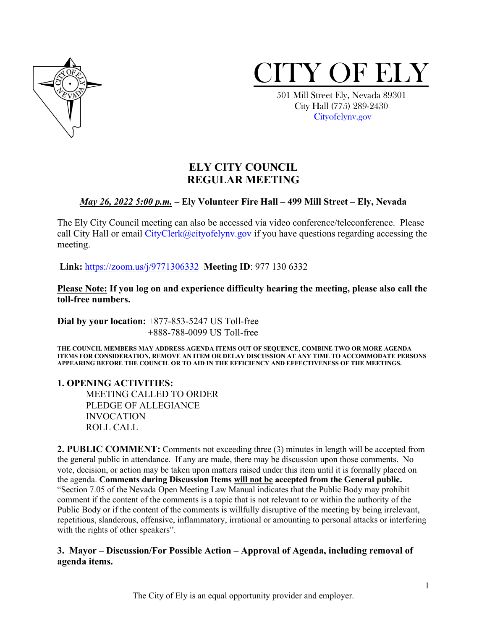



 City Hall (775) 289-2430 [Cityofelynv.gov](mailto:Cityofelynv.gov)

# **ELY CITY COUNCIL REGULAR MEETING**

## *May 26, 2022 5:00 p.m.* **– Ely Volunteer Fire Hall – 499 Mill Street – Ely, Nevada**

The Ely City Council meeting can also be accessed via video conference/teleconference. Please call City Hall or email  $CityClerk@cityofelynv.gov$  if you have questions regarding accessing the meeting.

**Link:** [https://zoom.us/j/9771306332](https://zoom.us/j/9771306332?status=success) **Meeting ID**: 977 130 6332

**Please Note: If you log on and experience difficulty hearing the meeting, please also call the toll-free numbers.** 

**Dial by your location:** +877-853-5247 US Toll-free +888-788-0099 US Toll-free

**THE COUNCIL MEMBERS MAY ADDRESS AGENDA ITEMS OUT OF SEQUENCE, COMBINE TWO OR MORE AGENDA ITEMS FOR CONSIDERATION, REMOVE AN ITEM OR DELAY DISCUSSION AT ANY TIME TO ACCOMMODATE PERSONS APPEARING BEFORE THE COUNCIL OR TO AID IN THE EFFICIENCY AND EFFECTIVENESS OF THE MEETINGS.**

**1. OPENING ACTIVITIES:** 

MEETING CALLED TO ORDER PLEDGE OF ALLEGIANCE INVOCATION ROLL CALL

**2. PUBLIC COMMENT:** Comments not exceeding three (3) minutes in length will be accepted from the general public in attendance. If any are made, there may be discussion upon those comments. No vote, decision, or action may be taken upon matters raised under this item until it is formally placed on the agenda. **Comments during Discussion Items will not be accepted from the General public.**  "Section 7.05 of the Nevada Open Meeting Law Manual indicates that the Public Body may prohibit comment if the content of the comments is a topic that is not relevant to or within the authority of the Public Body or if the content of the comments is willfully disruptive of the meeting by being irrelevant, repetitious, slanderous, offensive, inflammatory, irrational or amounting to personal attacks or interfering with the rights of other speakers".

## **3. Mayor – Discussion/For Possible Action – Approval of Agenda, including removal of agenda items.**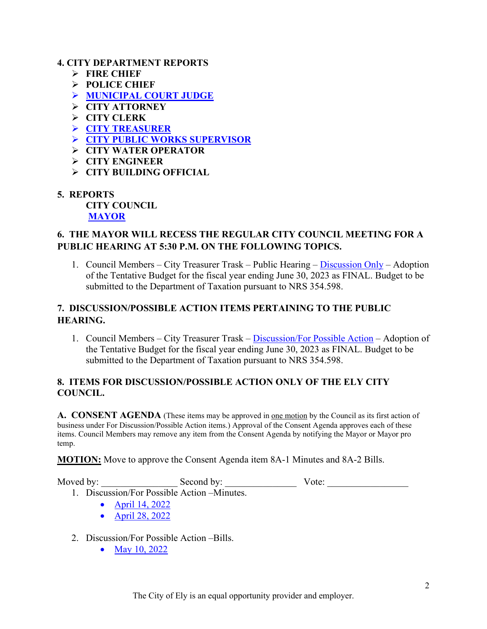## **4. CITY DEPARTMENT REPORTS**

- **FIRE CHIEF**
- **POLICE CHIEF**
- **[MUNICIPAL COURT JUDGE](https://www.cityofelynv.gov/pdf/CityCouncil2022/cc5-26-22/Municourtapril22report.pdf)**
- **CITY ATTORNEY**
- **CITY CLERK**
- **[CITY TREASURER](https://www.cityofelynv.gov/pdf/CityCouncil2022/cc5-26-22/Citytreaser-HRDirectorreport.pdf)**
- **[CITY PUBLIC WORKS SUPERVISOR](https://www.cityofelynv.gov/pdf/CityCouncil2022/cc5-26-22/Publicworksmidmonthreport.pdf)**
- **CITY WATER OPERATOR**
- **CITY ENGINEER**
- **CITY BUILDING OFFICIAL**
- **5. REPORTS**

**CITY COUNCIL [MAYOR](https://www.cityofelynv.gov/pdf/CityCouncil2022/cc5-26-22/Mayorsreport5-26-22.pdf)**

## **6. THE MAYOR WILL RECESS THE REGULAR CITY COUNCIL MEETING FOR A PUBLIC HEARING AT 5:30 P.M. ON THE FOLLOWING TOPICS.**

1. Council Members – City Treasurer Trask – Public Hearing – [Discussion Only](https://www.cityofelynv.gov/pdf/CityCouncil2022/cc5-26-22/tentativebudget22-23.pdf) – Adoption of the Tentative Budget for the fiscal year ending June 30, 2023 as FINAL. Budget to be submitted to the Department of Taxation pursuant to NRS 354.598.

## **7. DISCUSSION/POSSIBLE ACTION ITEMS PERTAINING TO THE PUBLIC HEARING.**

1. Council Members – City Treasurer Trask – [Discussion/For Possible Action](https://www.cityofelynv.gov/pdf/CityCouncil2022/cc5-26-22/tentativebudget22-23.pdf) – Adoption of the Tentative Budget for the fiscal year ending June 30, 2023 as FINAL. Budget to be submitted to the Department of Taxation pursuant to NRS 354.598.

## **8. ITEMS FOR DISCUSSION/POSSIBLE ACTION ONLY OF THE ELY CITY COUNCIL.**

**A. CONSENT AGENDA** (These items may be approved in one motion by the Council as its first action of business under For Discussion/Possible Action items.) Approval of the Consent Agenda approves each of these items. Council Members may remove any item from the Consent Agenda by notifying the Mayor or Mayor pro temp.

**MOTION:** Move to approve the Consent Agenda item 8A-1 Minutes and 8A-2 Bills.

Moved by: \_\_\_\_\_\_\_\_\_\_\_\_\_\_\_\_ Second by: \_\_\_\_\_\_\_\_\_\_\_\_\_\_\_ Vote: \_\_\_\_\_\_\_\_\_\_\_\_\_\_\_\_\_

- 1. Discussion/For Possible Action –Minutes.
	- April 14, 2022
	- [April 28, 2022](https://www.cityofelynv.gov/pdf/CityCouncil2022/cc5-26-22/cc4-28-22meeting.pdf)
- 2. Discussion/For Possible Action –Bills.
	- May 10, 2022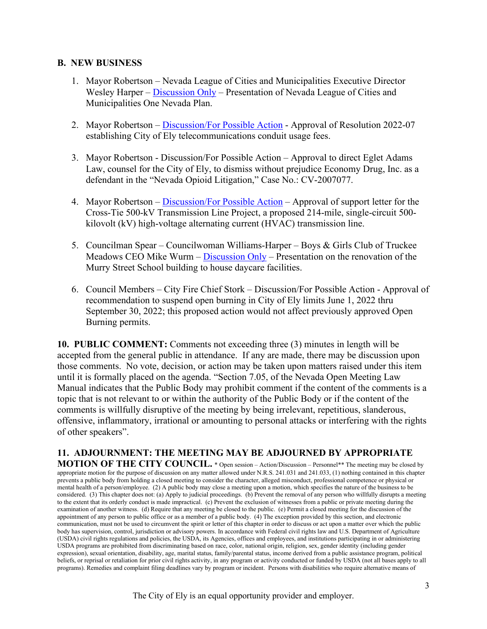### **B. NEW BUSINESS**

- 1. Mayor Robertson Nevada League of Cities and Municipalities Executive Director Wesley Harper – [Discussion Only](https://www.cityofelynv.gov/pdf/CityCouncil2022/cc5-26-22/LeagueofCitiesNevadaoneplan.pdf) – Presentation of Nevada League of Cities and Municipalities One Nevada Plan.
- 2. Mayor Robertson – [Discussion/For Possible Action](https://www.cityofelynv.gov/pdf/CityCouncil2022/cc5-26-22/Res.2022-07ConduitUsageFee.pdf)  Approval of Resolution 2022-07 establishing City of Ely telecommunications conduit usage fees.
- 3. Mayor Robertson Discussion/For Possible Action Approval to direct Eglet Adams Law, counsel for the City of Ely, to dismiss without prejudice Economy Drug, Inc. as a defendant in the "Nevada Opioid Litigation," Case No.: CV-2007077.
- 4. Mayor Robertson – [Discussion/For Possible Action](https://www.cityofelynv.gov/pdf/CityCouncil2022/cc5-26-22/cross-TieProjectsupportletter.pdf)  Approval of support letter for the Cross-Tie 500-kV Transmission Line Project, a proposed 214-mile, single-circuit 500 kilovolt (kV) high-voltage alternating current (HVAC) transmission line.
- 5. Councilman Spear Councilwoman Williams-Harper Boys & Girls Club of Truckee Meadows CEO Mike Wurm – [Discussion Only](https://www.cityofelynv.gov/pdf/CityCouncil2022/cc5-26-22/BGclubRequesttotheCityofElyforMurryStreetProject.pdf) – Presentation on the renovation of the Murry Street School building to house daycare facilities.
- 6. Council Members City Fire Chief Stork Discussion/For Possible Action Approval of recommendation to suspend open burning in City of Ely limits June 1, 2022 thru September 30, 2022; this proposed action would not affect previously approved Open Burning permits.

**10. PUBLIC COMMENT:** Comments not exceeding three (3) minutes in length will be accepted from the general public in attendance. If any are made, there may be discussion upon those comments. No vote, decision, or action may be taken upon matters raised under this item until it is formally placed on the agenda. "Section 7.05, of the Nevada Open Meeting Law Manual indicates that the Public Body may prohibit comment if the content of the comments is a topic that is not relevant to or within the authority of the Public Body or if the content of the comments is willfully disruptive of the meeting by being irrelevant, repetitious, slanderous, offensive, inflammatory, irrational or amounting to personal attacks or interfering with the rights of other speakers".

**11. ADJOURNMENT: THE MEETING MAY BE ADJOURNED BY APPROPRIATE MOTION OF THE CITY COUNCIL.** \* Open session – Action/Discussion – Personnel\*\* The meeting may be closed by appropriate motion for the purpose of discussion on any matter allowed under N.R.S. 241.031 and 241.033, (1) nothing contained in this chapter prevents a public body from holding a closed meeting to consider the character, alleged misconduct, professional competence or physical or mental health of a person/employee. (2) A public body may close a meeting upon a motion, which specifies the nature of the business to be considered. (3) This chapter does not: (a) Apply to judicial proceedings. (b) Prevent the removal of any person who willfully disrupts a meeting to the extent that its orderly conduct is made impractical. (c) Prevent the exclusion of witnesses from a public or private meeting during the examination of another witness. (d) Require that any meeting be closed to the public. (e) Permit a closed meeting for the discussion of the appointment of any person to public office or as a member of a public body. (4) The exception provided by this section, and electronic communication, must not be used to circumvent the spirit or letter of this chapter in order to discuss or act upon a matter over which the public body has supervision, control, jurisdiction or advisory powers. In accordance with Federal civil rights law and U.S. Department of Agriculture (USDA) civil rights regulations and policies, the USDA, its Agencies, offices and employees, and institutions participating in or administering USDA programs are prohibited from discriminating based on race, color, national origin, religion, sex, gender identity (including gender expression), sexual orientation, disability, age, marital status, family/parental status, income derived from a public assistance program, political beliefs, or reprisal or retaliation for prior civil rights activity, in any program or activity conducted or funded by USDA (not all bases apply to all programs). Remedies and complaint filing deadlines vary by program or incident. Persons with disabilities who require alternative means of